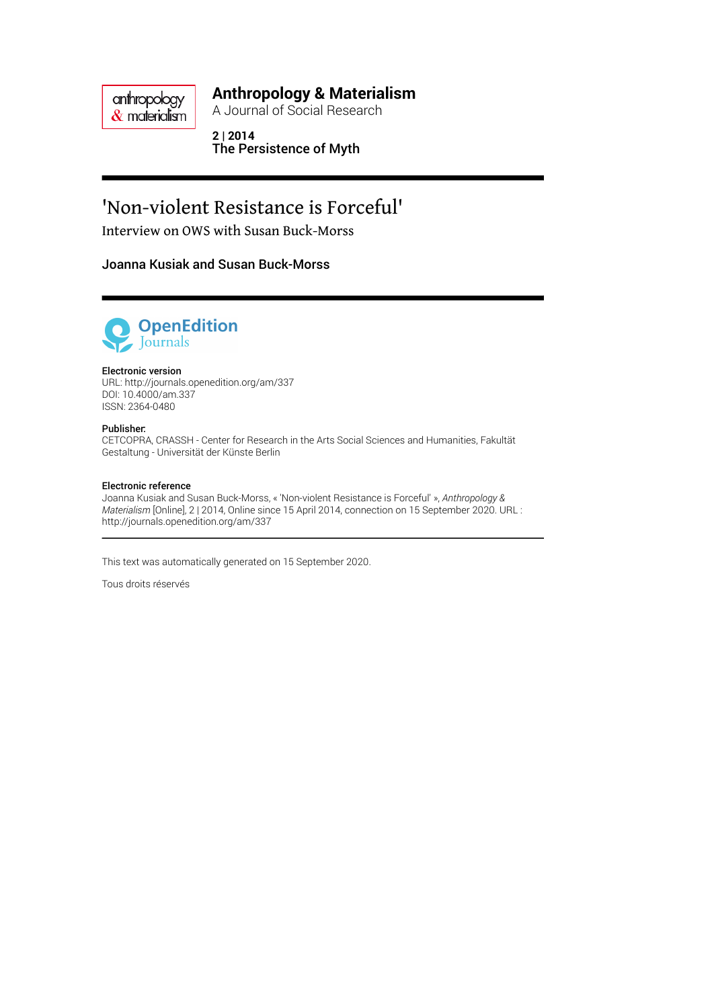anthropology  $\&$  materialism

### **Anthropology & Materialism**

A Journal of Social Research

**2 | 2014** The Persistence of Myth

# 'Non-violent Resistance is Forceful'

Interview on OWS with Susan Buck-Morss

#### Joanna Kusiak and Susan Buck-Morss



#### Electronic version

URL:<http://journals.openedition.org/am/337> DOI: 10.4000/am.337 ISSN: 2364-0480

#### Publisher:

CETCOPRA, CRASSH - Center for Research in the Arts Social Sciences and Humanities, Fakultät Gestaltung - Universität der Künste Berlin

#### Electronic reference

Joanna Kusiak and Susan Buck-Morss, « 'Non-violent Resistance is Forceful' », *Anthropology & Materialism* [Online], 2 | 2014, Online since 15 April 2014, connection on 15 September 2020. URL : http://journals.openedition.org/am/337

This text was automatically generated on 15 September 2020.

Tous droits réservés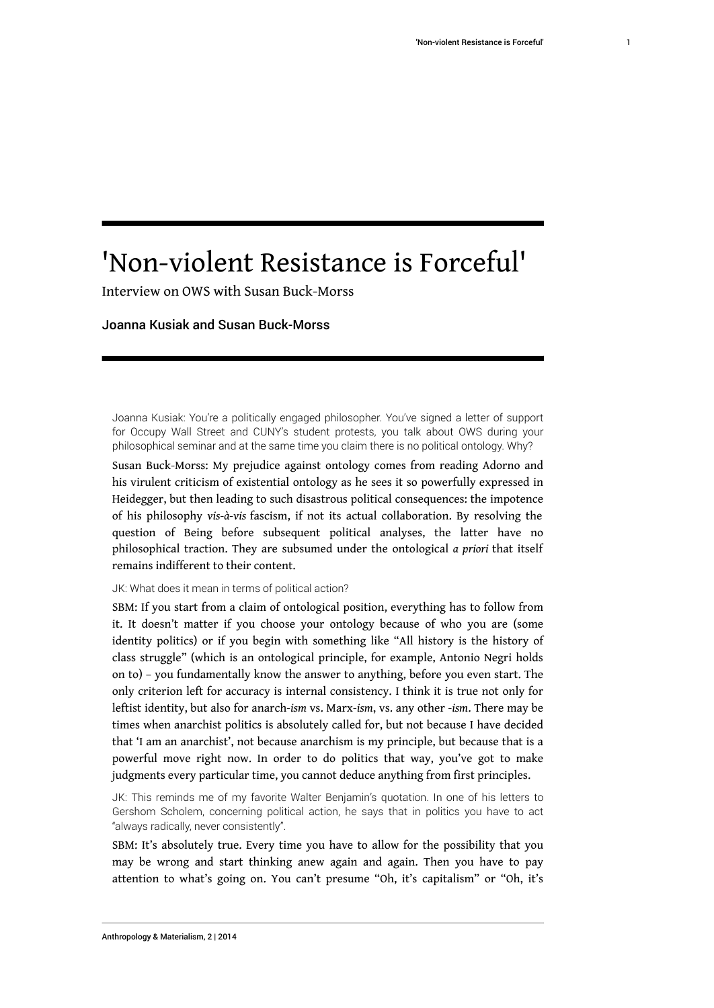# 'Non-violent Resistance is Forceful'

Interview on OWS with Susan Buck-Morss

#### Joanna Kusiak and Susan Buck-Morss

Joanna Kusiak: You're a politically engaged philosopher. You've signed a letter of support for Occupy Wall Street and CUNY's student protests, you talk about OWS during your philosophical seminar and at the same time you claim there is no political ontology. Why?

Susan Buck-Morss: My prejudice against ontology comes from reading Adorno and his virulent criticism of existential ontology as he sees it so powerfully expressed in Heidegger, but then leading to such disastrous political consequences: the impotence of his philosophy *vis-à-vis* fascism, if not its actual collaboration. By resolving the question of Being before subsequent political analyses, the latter have no philosophical traction. They are subsumed under the ontological *a priori* that itself remains indifferent to their content.

#### JK: What does it mean in terms of political action?

SBM: If you start from a claim of ontological position, everything has to follow from it. It doesn't matter if you choose your ontology because of who you are (some identity politics) or if you begin with something like "All history is the history of class struggle" (which is an ontological principle, for example, Antonio Negri holds on to) – you fundamentally know the answer to anything, before you even start. The only criterion left for accuracy is internal consistency. I think it is true not only for leftist identity, but also for anarch*-ism* vs. Marx*-ism*, vs. any other *-ism*. There may be times when anarchist politics is absolutely called for, but not because I have decided that 'I am an anarchist', not because anarchism is my principle, but because that is a powerful move right now. In order to do politics that way, you've got to make judgments every particular time, you cannot deduce anything from first principles.

JK: This reminds me of my favorite Walter Benjamin's quotation. In one of his letters to Gershom Scholem, concerning political action, he says that in politics you have to act "always radically, never consistently".

SBM: It's absolutely true. Every time you have to allow for the possibility that you may be wrong and start thinking anew again and again. Then you have to pay attention to what's going on. You can't presume "Oh, it's capitalism" or "Oh, it's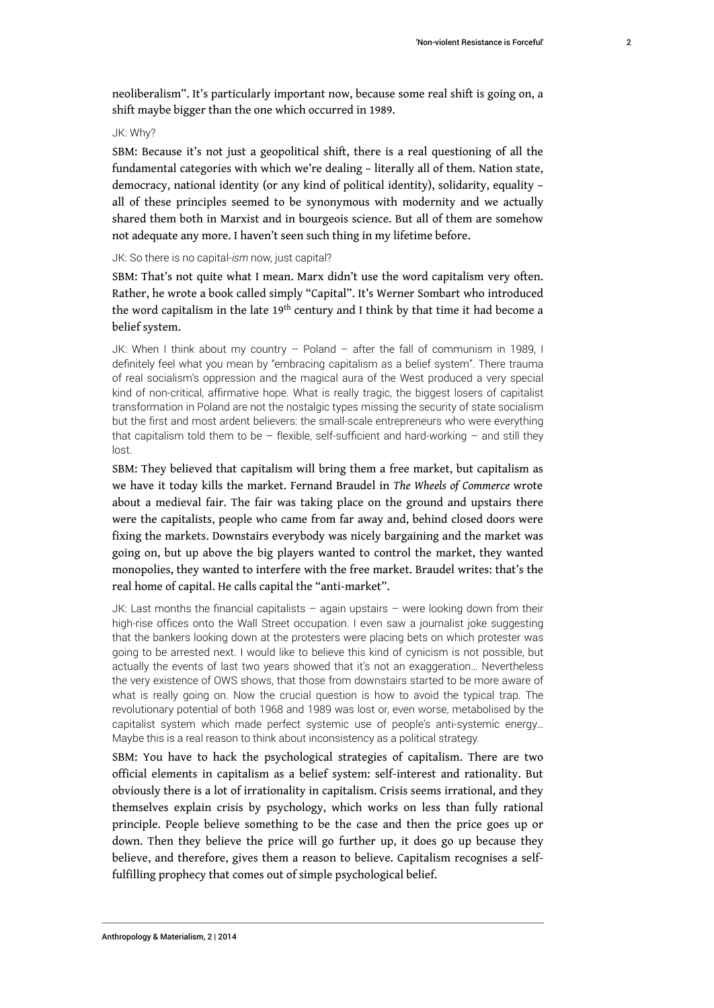neoliberalism". It's particularly important now, because some real shift is going on, a shift maybe bigger than the one which occurred in 1989.

#### JK: Why?

SBM: Because it's not just a geopolitical shift, there is a real questioning of all the fundamental categories with which we're dealing – literally all of them. Nation state, democracy, national identity (or any kind of political identity), solidarity, equality – all of these principles seemed to be synonymous with modernity and we actually shared them both in Marxist and in bourgeois science. But all of them are somehow not adequate any more. I haven't seen such thing in my lifetime before.

#### JK: So there is no capital-*ism* now, just capital?

SBM: That's not quite what I mean. Marx didn't use the word capitalism very often. Rather, he wrote a book called simply "Capital". It's Werner Sombart who introduced the word capitalism in the late 19<sup>th</sup> century and I think by that time it had become a belief system.

JK: When I think about my country – Poland – after the fall of communism in 1989, I definitely feel what you mean by "embracing capitalism as a belief system". There trauma of real socialism's oppression and the magical aura of the West produced a very special kind of non-critical, affirmative hope. What is really tragic, the biggest losers of capitalist transformation in Poland are not the nostalgic types missing the security of state socialism but the first and most ardent believers: the small-scale entrepreneurs who were everything that capitalism told them to be  $-$  flexible, self-sufficient and hard-working  $-$  and still they lost.

SBM: They believed that capitalism will bring them a free market, but capitalism as we have it today kills the market. Fernand Braudel in *The Wheels of Commerce* wrote about a medieval fair. The fair was taking place on the ground and upstairs there were the capitalists, people who came from far away and, behind closed doors were fixing the markets. Downstairs everybody was nicely bargaining and the market was going on, but up above the big players wanted to control the market, they wanted monopolies, they wanted to interfere with the free market. Braudel writes: that's the real home of capital. He calls capital the "anti-market".

JK: Last months the financial capitalists – again upstairs – were looking down from their high-rise offices onto the Wall Street occupation. I even saw a journalist joke suggesting that the bankers looking down at the protesters were placing bets on which protester was going to be arrested next. I would like to believe this kind of cynicism is not possible, but actually the events of last two years showed that it's not an exaggeration… Nevertheless the very existence of OWS shows, that those from downstairs started to be more aware of what is really going on. Now the crucial question is how to avoid the typical trap. The revolutionary potential of both 1968 and 1989 was lost or, even worse, metabolised by the capitalist system which made perfect systemic use of people's anti-systemic energy… Maybe this is a real reason to think about inconsistency as a political strategy.

SBM: You have to hack the psychological strategies of capitalism. There are two official elements in capitalism as a belief system: self-interest and rationality. But obviously there is a lot of irrationality in capitalism. Crisis seems irrational, and they themselves explain crisis by psychology, which works on less than fully rational principle. People believe something to be the case and then the price goes up or down. Then they believe the price will go further up, it does go up because they believe, and therefore, gives them a reason to believe. Capitalism recognises a selffulfilling prophecy that comes out of simple psychological belief.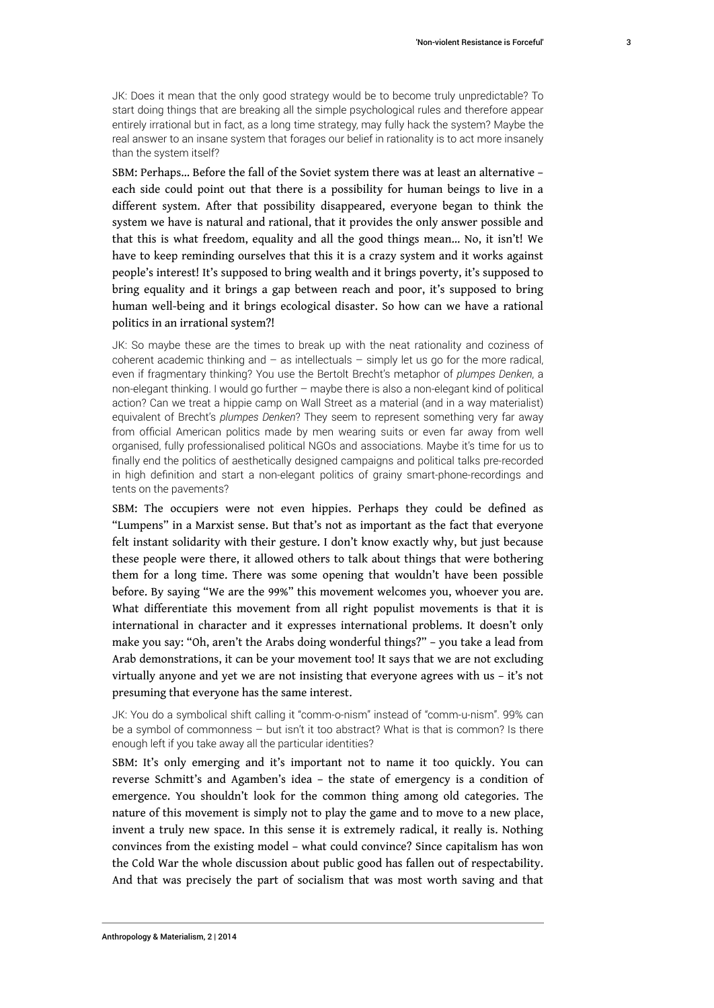JK: Does it mean that the only good strategy would be to become truly unpredictable? To start doing things that are breaking all the simple psychological rules and therefore appear entirely irrational but in fact, as a long time strategy, may fully hack the system? Maybe the real answer to an insane system that forages our belief in rationality is to act more insanely than the system itself?

SBM: Perhaps… Before the fall of the Soviet system there was at least an alternative – each side could point out that there is a possibility for human beings to live in a different system. After that possibility disappeared, everyone began to think the system we have is natural and rational, that it provides the only answer possible and that this is what freedom, equality and all the good things mean… No, it isn't! We have to keep reminding ourselves that this it is a crazy system and it works against people's interest! It's supposed to bring wealth and it brings poverty, it's supposed to bring equality and it brings a gap between reach and poor, it's supposed to bring human well-being and it brings ecological disaster. So how can we have a rational politics in an irrational system?!

JK: So maybe these are the times to break up with the neat rationality and coziness of coherent academic thinking and  $-$  as intellectuals  $-$  simply let us go for the more radical, even if fragmentary thinking? You use the Bertolt Brecht's metaphor of *plumpes Denken*, a non-elegant thinking. I would go further – maybe there is also a non-elegant kind of political action? Can we treat a hippie camp on Wall Street as a material (and in a way materialist) equivalent of Brecht's *plumpes Denken*? They seem to represent something very far away from official American politics made by men wearing suits or even far away from well organised, fully professionalised political NGOs and associations. Maybe it's time for us to finally end the politics of aesthetically designed campaigns and political talks pre-recorded in high definition and start a non-elegant politics of grainy smart-phone-recordings and tents on the pavements?

SBM: The occupiers were not even hippies. Perhaps they could be defined as "Lumpens" in a Marxist sense. But that's not as important as the fact that everyone felt instant solidarity with their gesture. I don't know exactly why, but just because these people were there, it allowed others to talk about things that were bothering them for a long time. There was some opening that wouldn't have been possible before. By saying "We are the 99%" this movement welcomes you, whoever you are. What differentiate this movement from all right populist movements is that it is international in character and it expresses international problems. It doesn't only make you say: "Oh, aren't the Arabs doing wonderful things?" – you take a lead from Arab demonstrations, it can be your movement too! It says that we are not excluding virtually anyone and yet we are not insisting that everyone agrees with us – it's not presuming that everyone has the same interest.

JK: You do a symbolical shift calling it "comm-o-nism" instead of "comm-u-nism". 99% can be a symbol of commonness – but isn't it too abstract? What is that is common? Is there enough left if you take away all the particular identities?

SBM: It's only emerging and it's important not to name it too quickly. You can reverse Schmitt's and Agamben's idea – the state of emergency is a condition of emergence. You shouldn't look for the common thing among old categories. The nature of this movement is simply not to play the game and to move to a new place, invent a truly new space. In this sense it is extremely radical, it really is. Nothing convinces from the existing model – what could convince? Since capitalism has won the Cold War the whole discussion about public good has fallen out of respectability. And that was precisely the part of socialism that was most worth saving and that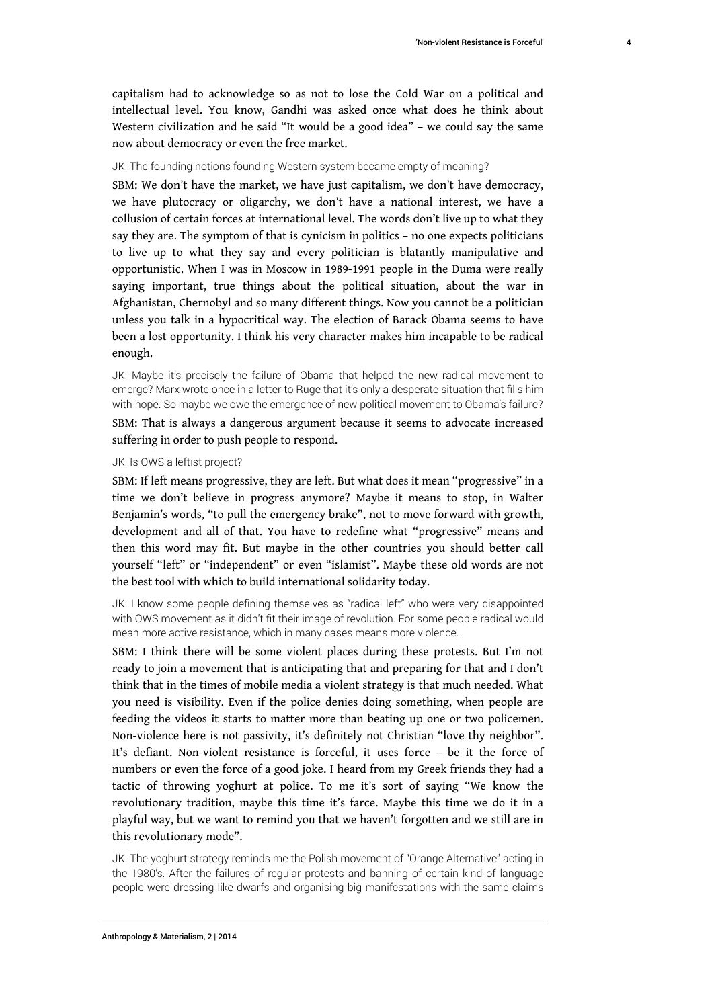capitalism had to acknowledge so as not to lose the Cold War on a political and intellectual level. You know, Gandhi was asked once what does he think about Western civilization and he said "It would be a good idea" – we could say the same now about democracy or even the free market.

#### JK: The founding notions founding Western system became empty of meaning?

SBM: We don't have the market, we have just capitalism, we don't have democracy, we have plutocracy or oligarchy, we don't have a national interest, we have a collusion of certain forces at international level. The words don't live up to what they say they are. The symptom of that is cynicism in politics – no one expects politicians to live up to what they say and every politician is blatantly manipulative and opportunistic. When I was in Moscow in 1989-1991 people in the Duma were really saying important, true things about the political situation, about the war in Afghanistan, Chernobyl and so many different things. Now you cannot be a politician unless you talk in a hypocritical way. The election of Barack Obama seems to have been a lost opportunity. I think his very character makes him incapable to be radical enough.

JK: Maybe it's precisely the failure of Obama that helped the new radical movement to emerge? Marx wrote once in a letter to Ruge that it's only a desperate situation that fills him with hope. So maybe we owe the emergence of new political movement to Obama's failure?

SBM: That is always a dangerous argument because it seems to advocate increased suffering in order to push people to respond.

#### JK: Is OWS a leftist project?

SBM: If left means progressive, they are left. But what does it mean "progressive" in a time we don't believe in progress anymore? Maybe it means to stop, in Walter Benjamin's words, "to pull the emergency brake", not to move forward with growth, development and all of that. You have to redefine what "progressive" means and then this word may fit. But maybe in the other countries you should better call yourself "left" or "independent" or even "islamist". Maybe these old words are not the best tool with which to build international solidarity today.

JK: I know some people defining themselves as "radical left" who were very disappointed with OWS movement as it didn't fit their image of revolution. For some people radical would mean more active resistance, which in many cases means more violence.

SBM: I think there will be some violent places during these protests. But I'm not ready to join a movement that is anticipating that and preparing for that and I don't think that in the times of mobile media a violent strategy is that much needed. What you need is visibility. Even if the police denies doing something, when people are feeding the videos it starts to matter more than beating up one or two policemen. Non-violence here is not passivity, it's definitely not Christian "love thy neighbor". It's defiant. Non-violent resistance is forceful, it uses force – be it the force of numbers or even the force of a good joke. I heard from my Greek friends they had a tactic of throwing yoghurt at police. To me it's sort of saying "We know the revolutionary tradition, maybe this time it's farce. Maybe this time we do it in a playful way, but we want to remind you that we haven't forgotten and we still are in this revolutionary mode".

JK: The yoghurt strategy reminds me the Polish movement of "Orange Alternative" acting in the 1980's. After the failures of regular protests and banning of certain kind of language people were dressing like dwarfs and organising big manifestations with the same claims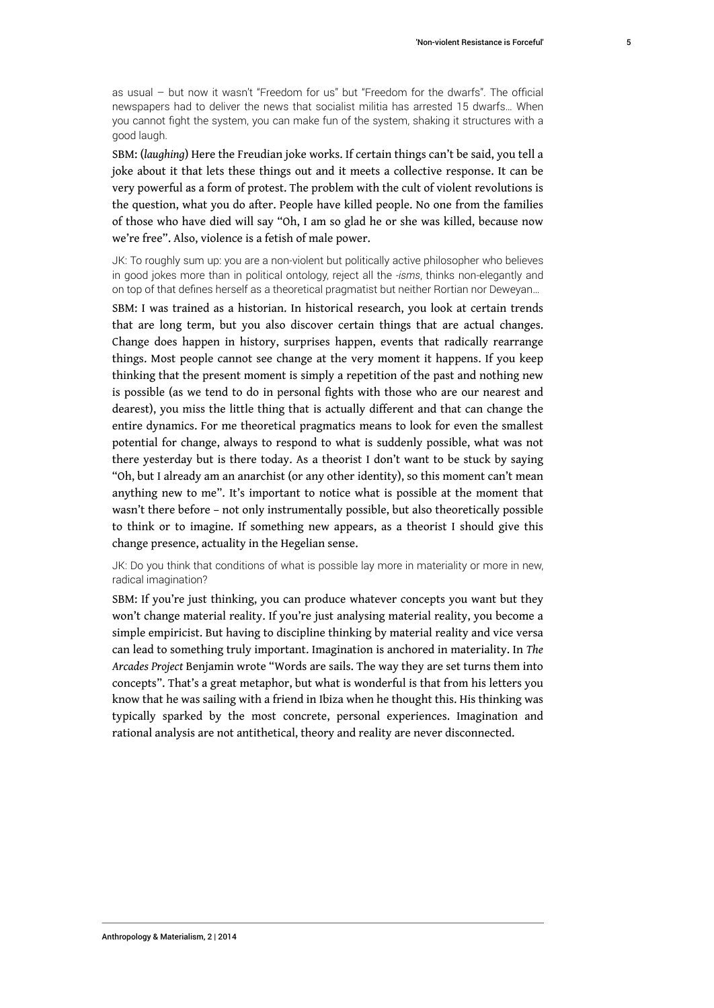as usual – but now it wasn't "Freedom for us" but "Freedom for the dwarfs". The official newspapers had to deliver the news that socialist militia has arrested 15 dwarfs… When you cannot fight the system, you can make fun of the system, shaking it structures with a good laugh.

SBM: (*laughing*) Here the Freudian joke works. If certain things can't be said, you tell a joke about it that lets these things out and it meets a collective response. It can be very powerful as a form of protest. The problem with the cult of violent revolutions is the question, what you do after. People have killed people. No one from the families of those who have died will say "Oh, I am so glad he or she was killed, because now we're free". Also, violence is a fetish of male power.

JK: To roughly sum up: you are a non-violent but politically active philosopher who believes in good jokes more than in political ontology, reject all the *-isms*, thinks non-elegantly and on top of that defines herself as a theoretical pragmatist but neither Rortian nor Deweyan…

SBM: I was trained as a historian. In historical research, you look at certain trends that are long term, but you also discover certain things that are actual changes. Change does happen in history, surprises happen, events that radically rearrange things. Most people cannot see change at the very moment it happens. If you keep thinking that the present moment is simply a repetition of the past and nothing new is possible (as we tend to do in personal fights with those who are our nearest and dearest), you miss the little thing that is actually different and that can change the entire dynamics. For me theoretical pragmatics means to look for even the smallest potential for change, always to respond to what is suddenly possible, what was not there yesterday but is there today. As a theorist I don't want to be stuck by saying "Oh, but I already am an anarchist (or any other identity), so this moment can't mean anything new to me". It's important to notice what is possible at the moment that wasn't there before – not only instrumentally possible, but also theoretically possible to think or to imagine. If something new appears, as a theorist I should give this change presence, actuality in the Hegelian sense.

JK: Do you think that conditions of what is possible lay more in materiality or more in new, radical imagination?

SBM: If you're just thinking, you can produce whatever concepts you want but they won't change material reality. If you're just analysing material reality, you become a simple empiricist. But having to discipline thinking by material reality and vice versa can lead to something truly important. Imagination is anchored in materiality. In *The Arcades Project* Benjamin wrote "Words are sails. The way they are set turns them into concepts". That's a great metaphor, but what is wonderful is that from his letters you know that he was sailing with a friend in Ibiza when he thought this. His thinking was typically sparked by the most concrete, personal experiences. Imagination and rational analysis are not antithetical, theory and reality are never disconnected.